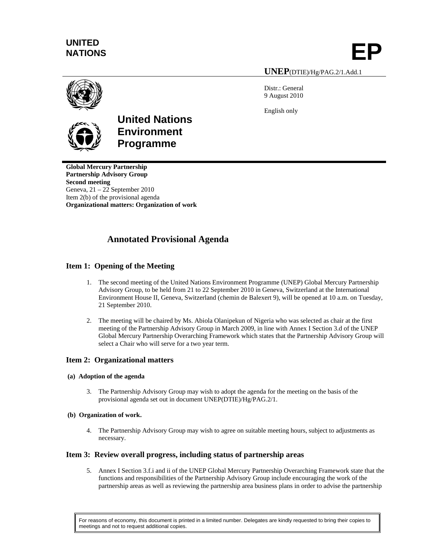# **UNITED**

NATIONS **EP** 

#### **UNEP**(DTIE)/Hg/PAG.2/1.Add.1

Distr.: General 9 August 2010

English only





## **United Nations Environment Programme**

**Global Mercury Partnership Partnership Advisory Group Second meeting**  Geneva, 21 – 22 September 2010 Item 2(b) of the provisional agenda **Organizational matters: Organization of work** 

### **Annotated Provisional Agenda**

#### **Item 1: Opening of the Meeting**

- 1. The second meeting of the United Nations Environment Programme (UNEP) Global Mercury Partnership Advisory Group, to be held from 21 to 22 September 2010 in Geneva, Switzerland at the International Environment House II, Geneva, Switzerland (chemin de Balexert 9), will be opened at 10 a.m. on Tuesday, 21 September 2010.
- 2. The meeting will be chaired by Ms. Abiola Olanipekun of Nigeria who was selected as chair at the first meeting of the Partnership Advisory Group in March 2009, in line with Annex I Section 3.d of the UNEP Global Mercury Partnership Overarching Framework which states that the Partnership Advisory Group will select a Chair who will serve for a two year term.

#### **Item 2: Organizational matters**

#### **(a) Adoption of the agenda**

3. The Partnership Advisory Group may wish to adopt the agenda for the meeting on the basis of the provisional agenda set out in document UNEP(DTIE)/Hg/PAG.2/1.

#### **(b) Organization of work.**

4. The Partnership Advisory Group may wish to agree on suitable meeting hours, subject to adjustments as necessary.

#### **Item 3: Review overall progress, including status of partnership areas**

5. Annex I Section 3.f.i and ii of the UNEP Global Mercury Partnership Overarching Framework state that the functions and responsibilities of the Partnership Advisory Group include encouraging the work of the partnership areas as well as reviewing the partnership area business plans in order to advise the partnership

For reasons of economy, this document is printed in a limited number. Delegates are kindly requested to bring their copies to meetings and not to request additional copies.